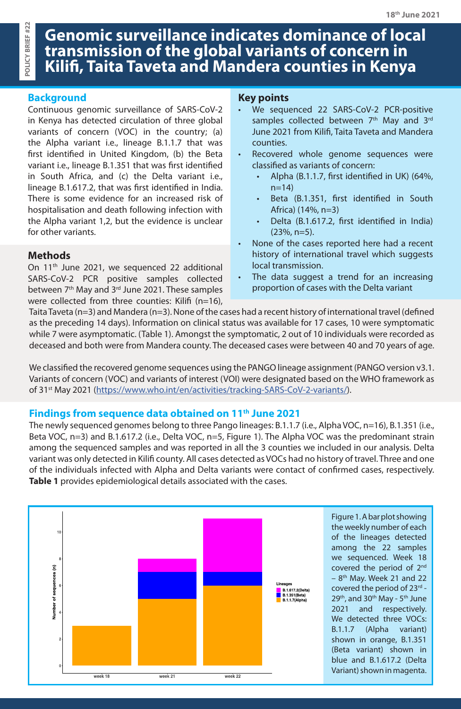# **Genomic surveillance indicates dominance of local transmission of the global variants of concern in Kilifi, Taita Taveta and Mandera counties in Kenya**

## **Background**

Continuous genomic surveillance of SARS-CoV-2 in Kenya has detected circulation of three global variants of concern (VOC) in the country; (a) the Alpha variant i.e., lineage B.1.1.7 that was first identified in United Kingdom, (b) the Beta variant i.e., lineage B.1.351 that was first identified in South Africa, and (c) the Delta variant i.e., lineage B.1.617.2, that was first identified in India. There is some evidence for an increased risk of hospitalisation and death following infection with the Alpha variant 1,2, but the evidence is unclear for other variants.

#### **Methods**

On 11<sup>th</sup> June 2021, we sequenced 22 additional SARS-CoV-2 PCR positive samples collected between 7<sup>th</sup> May and 3<sup>rd</sup> June 2021. These samples were collected from three counties: Kilifi (n=16),

### **Key points**

- We sequenced 22 SARS-CoV-2 PCR-positive samples collected between  $7<sup>th</sup>$  May and  $3<sup>rd</sup>$ June 2021 from Kilifi, Taita Taveta and Mandera counties.
- Recovered whole genome sequences were classified as variants of concern:
	- Alpha (B.1.1.7, first identified in UK) (64%,  $n=14$ )
	- Beta (B.1.351, first identified in South Africa) (14%, n=3)
	- Delta (B.1.617.2, first identified in India) (23%, n=5).
- None of the cases reported here had a recent history of international travel which suggests local transmission.
- The data suggest a trend for an increasing proportion of cases with the Delta variant

Taita Taveta (n=3) and Mandera (n=3). None of the cases had a recent history of international travel (defined as the preceding 14 days). Information on clinical status was available for 17 cases, 10 were symptomatic while 7 were asymptomatic. (Table 1). Amongst the symptomatic, 2 out of 10 individuals were recorded as deceased and both were from Mandera county. The deceased cases were between 40 and 70 years of age.

We classified the recovered genome sequences using the PANGO lineage assignment (PANGO version v3.1. Variants of concern (VOC) and variants of interest (VOI) were designated based on the WHO framework as of 31st May 2021 [\(https://www.who.int/en/activities/tracking-SARS-CoV-2-variants/](https://www.who.int/en/activities/tracking-SARS-CoV-2-variants/)).

## **Findings from sequence data obtained on 11th June 2021**

The newly sequenced genomes belong to three Pango lineages: B.1.1.7 (i.e., Alpha VOC, n=16), B.1.351 (i.e., Beta VOC, n=3) and B.1.617.2 (i.e., Delta VOC, n=5, Figure 1). The Alpha VOC was the predominant strain among the sequenced samples and was reported in all the 3 counties we included in our analysis. Delta variant was only detected in Kilifi county. All cases detected as VOCs had no history of travel. Three and one of the individuals infected with Alpha and Delta variants were contact of confirmed cases, respectively. **Table 1** provides epidemiological details associated with the cases.



Figure 1. A bar plot showing the weekly number of each of the lineages detected among the 22 samples we sequenced. Week 18 covered the period of 2<sup>nd</sup>  $-8$ <sup>th</sup> May. Week 21 and 22 covered the period of 23rd - $29<sup>th</sup>$ , and  $30<sup>th</sup>$  May -  $5<sup>th</sup>$  June 2021 and respectively. We detected three VOCs: B.1.1.7 (Alpha variant) shown in orange, B.1.351 (Beta variant) shown in blue and B.1.617.2 (Delta Variant) shown in magenta.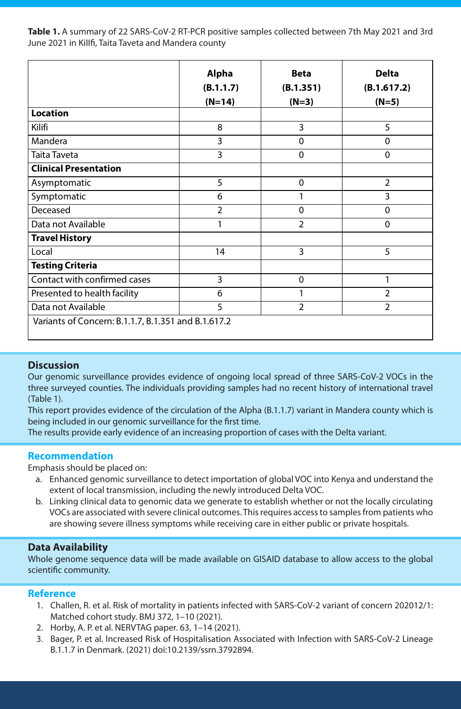Table 1. A summary of 22 SARS-CoV-2 RT-PCR positive samples collected between 7th May 2021 and 3rd June 2021 in KiIIfi, Taita Taveta and Mandera county

|                                                     | <b>Alpha</b>   | <b>Beta</b>    | <b>Delta</b>   |
|-----------------------------------------------------|----------------|----------------|----------------|
|                                                     | (B.1.1.7)      | (B.1.351)      | (B.1.617.2)    |
|                                                     | $(N=14)$       | $(N=3)$        | $(N=5)$        |
| <b>Location</b>                                     |                |                |                |
| Kilifi                                              | 8              | 3              | 5              |
| Mandera                                             | 3              | $\mathbf 0$    | $\overline{0}$ |
| Taita Taveta                                        | $\overline{3}$ | $\mathbf 0$    | $\overline{0}$ |
| <b>Clinical Presentation</b>                        |                |                |                |
| Asymptomatic                                        | 5              | $\mathbf 0$    | $\overline{2}$ |
| Symptomatic                                         | 6              | 1              | 3              |
| Deceased                                            | $\overline{2}$ | $\overline{0}$ | $\overline{0}$ |
| Data not Available                                  | 1              | $\overline{2}$ | $\overline{0}$ |
| <b>Travel History</b>                               |                |                |                |
| Local                                               | 14             | 3              | 5              |
| <b>Testing Criteria</b>                             |                |                |                |
| Contact with confirmed cases                        | 3              | $\mathbf 0$    | 1              |
| Presented to health facility                        | 6              |                | $\overline{2}$ |
| Data not Available                                  | 5              | $\overline{2}$ | $\overline{2}$ |
| Variants of Concern: B.1.1.7, B.1.351 and B.1.617.2 |                |                |                |

#### **Discussion**

l

Our genomic surveillance provides evidence of ongoing local spread of three SARS-CoV-2 VOCs in the three surveyed counties. The individuals providing samples had no recent history of international travel (Table 1).

This report provides evidence of the circulation of the Alpha (B.1.1.7) variant in Mandera county which is being included in our genomic surveillance for the first time.

The results provide early evidence of an increasing proportion of cases with the Delta variant.

#### **Recommendation**

Emphasis should be placed on:

- a. Enhanced genomic surveillance to detect importation of global VOC into Kenya and understand the extent of local transmission, including the newly introduced Delta VOC.
- b. Linking clinical data to genomic data we generate to establish whether or not the locally circulating VOCs are associated with severe clinical outcomes. This requires access to samples from patients who are showing severe illness symptoms while receiving care in either public or private hospitals.

#### **Data Availability**

Whole genome sequence data will be made available on GISAID database to allow access to the global scientific community.

#### **Reference**

- 1. Challen, R. et al. Risk of mortality in patients infected with SARS-CoV-2 variant of concern 202012/1: Matched cohort study. BMJ 372, 1–10 (2021).
- 2. Horby, A. P. et al. NERVTAG paper. 63, 1–14 (2021).
- 3. Bager, P. et al. Increased Risk of Hospitalisation Associated with Infection with SARS-CoV-2 Lineage B.1.1.7 in Denmark. (2021) doi:10.2139/ssrn.3792894.